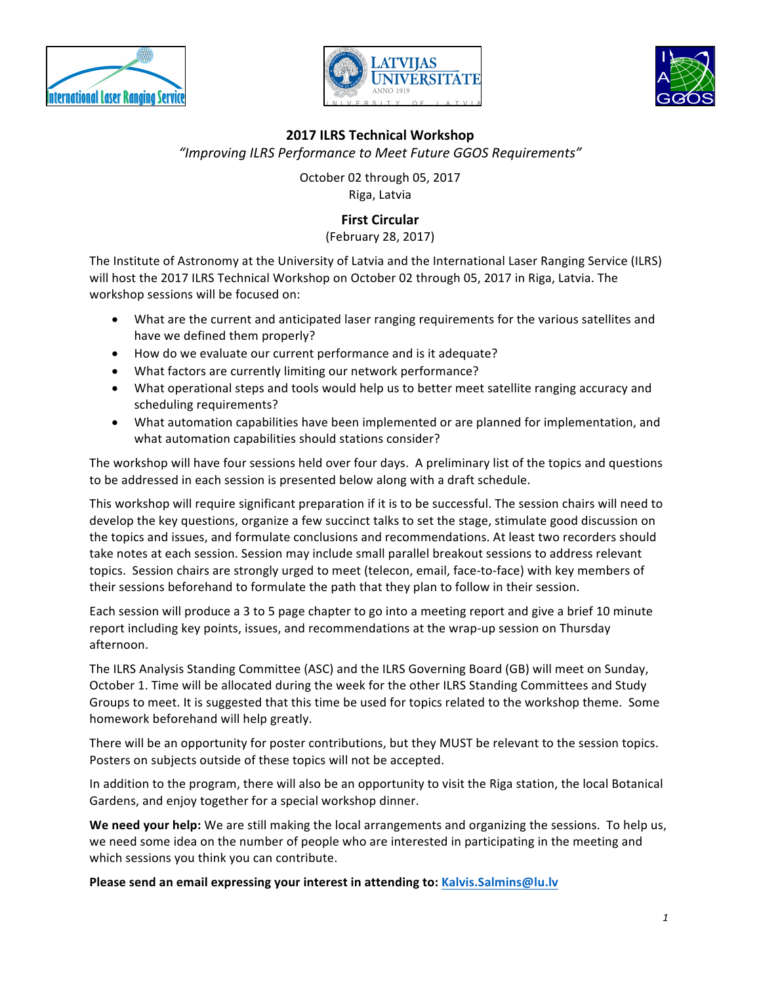





## **2017 ILRS Technical Workshop**

*"Improving ILRS Performance to Meet Future GGOS Requirements"*

October 02 through 05, 2017 Riga, Latvia

# **First Circular**

(February 28, 2017)

The Institute of Astronomy at the University of Latvia and the International Laser Ranging Service (ILRS) will host the 2017 ILRS Technical Workshop on October 02 through 05, 2017 in Riga, Latvia. The workshop sessions will be focused on:

- What are the current and anticipated laser ranging requirements for the various satellites and have we defined them properly?
- How do we evaluate our current performance and is it adequate?
- What factors are currently limiting our network performance?
- What operational steps and tools would help us to better meet satellite ranging accuracy and scheduling requirements?
- What automation capabilities have been implemented or are planned for implementation, and what automation capabilities should stations consider?

The workshop will have four sessions held over four days. A preliminary list of the topics and questions to be addressed in each session is presented below along with a draft schedule.

This workshop will require significant preparation if it is to be successful. The session chairs will need to develop the key questions, organize a few succinct talks to set the stage, stimulate good discussion on the topics and issues, and formulate conclusions and recommendations. At least two recorders should take notes at each session. Session may include small parallel breakout sessions to address relevant topics. Session chairs are strongly urged to meet (telecon, email, face-to-face) with key members of their sessions beforehand to formulate the path that they plan to follow in their session.

Each session will produce a 3 to 5 page chapter to go into a meeting report and give a brief 10 minute report including key points, issues, and recommendations at the wrap-up session on Thursday afternoon. 

The ILRS Analysis Standing Committee (ASC) and the ILRS Governing Board (GB) will meet on Sunday, October 1. Time will be allocated during the week for the other ILRS Standing Committees and Study Groups to meet. It is suggested that this time be used for topics related to the workshop theme. Some homework beforehand will help greatly.

There will be an opportunity for poster contributions, but they MUST be relevant to the session topics. Posters on subjects outside of these topics will not be accepted.

In addition to the program, there will also be an opportunity to visit the Riga station, the local Botanical Gardens, and enjoy together for a special workshop dinner.

**We need your help:** We are still making the local arrangements and organizing the sessions. To help us, we need some idea on the number of people who are interested in participating in the meeting and which sessions you think you can contribute.

**Please send an email expressing your interest in attending to: Kalvis.Salmins@lu.lv**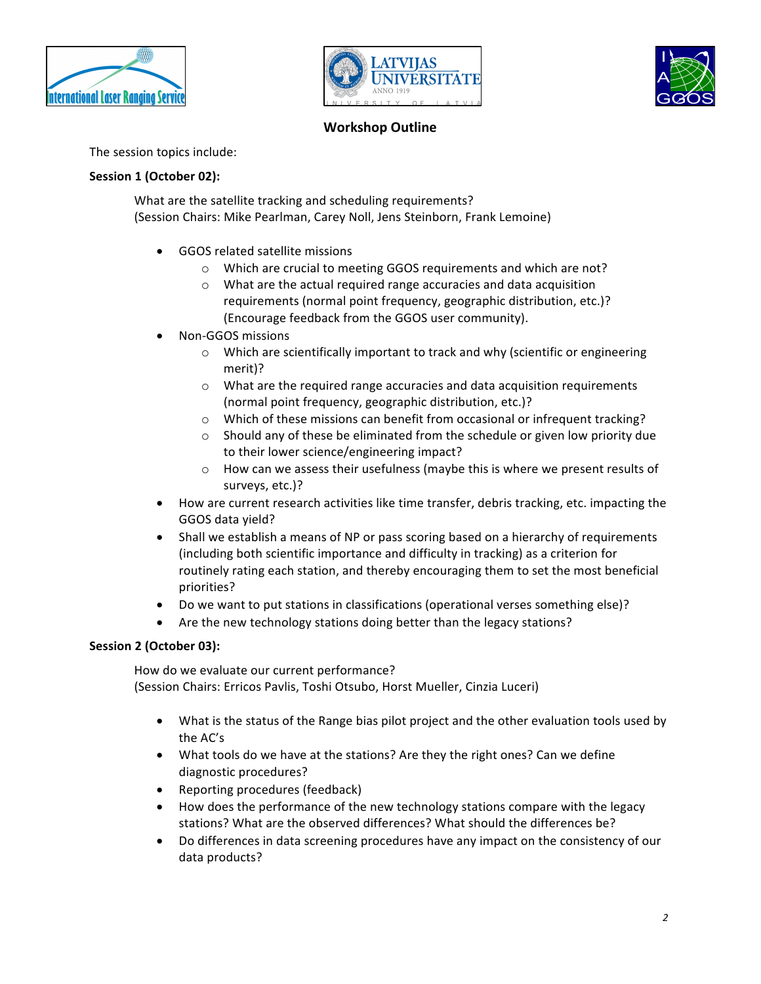





# **Workshop Outline**

The session topics include:

### **Session 1 (October 02):**

What are the satellite tracking and scheduling requirements? (Session Chairs: Mike Pearlman, Carey Noll, Jens Steinborn, Frank Lemoine)

- GGOS related satellite missions
	- $\circ$  Which are crucial to meeting GGOS requirements and which are not?
	- $\circ$  What are the actual required range accuracies and data acquisition requirements (normal point frequency, geographic distribution, etc.)? (Encourage feedback from the GGOS user community).
- Non-GGOS missions
	- $\circ$  Which are scientifically important to track and why (scientific or engineering merit)?
	- $\circ$  What are the required range accuracies and data acquisition requirements (normal point frequency, geographic distribution, etc.)?
	- $\circ$  Which of these missions can benefit from occasional or infrequent tracking?
	- $\circ$  Should any of these be eliminated from the schedule or given low priority due to their lower science/engineering impact?
	- $\circ$  How can we assess their usefulness (maybe this is where we present results of surveys, etc.)?
- How are current research activities like time transfer, debris tracking, etc. impacting the GGOS data yield?
- Shall we establish a means of NP or pass scoring based on a hierarchy of requirements (including both scientific importance and difficulty in tracking) as a criterion for routinely rating each station, and thereby encouraging them to set the most beneficial priorities?
- Do we want to put stations in classifications (operational verses something else)?
- Are the new technology stations doing better than the legacy stations?

### **Session 2 (October 03):**

How do we evaluate our current performance? (Session Chairs: Erricos Pavlis, Toshi Otsubo, Horst Mueller, Cinzia Luceri)

- What is the status of the Range bias pilot project and the other evaluation tools used by the AC's
- What tools do we have at the stations? Are they the right ones? Can we define diagnostic procedures?
- Reporting procedures (feedback)
- How does the performance of the new technology stations compare with the legacy stations? What are the observed differences? What should the differences be?
- Do differences in data screening procedures have any impact on the consistency of our data products?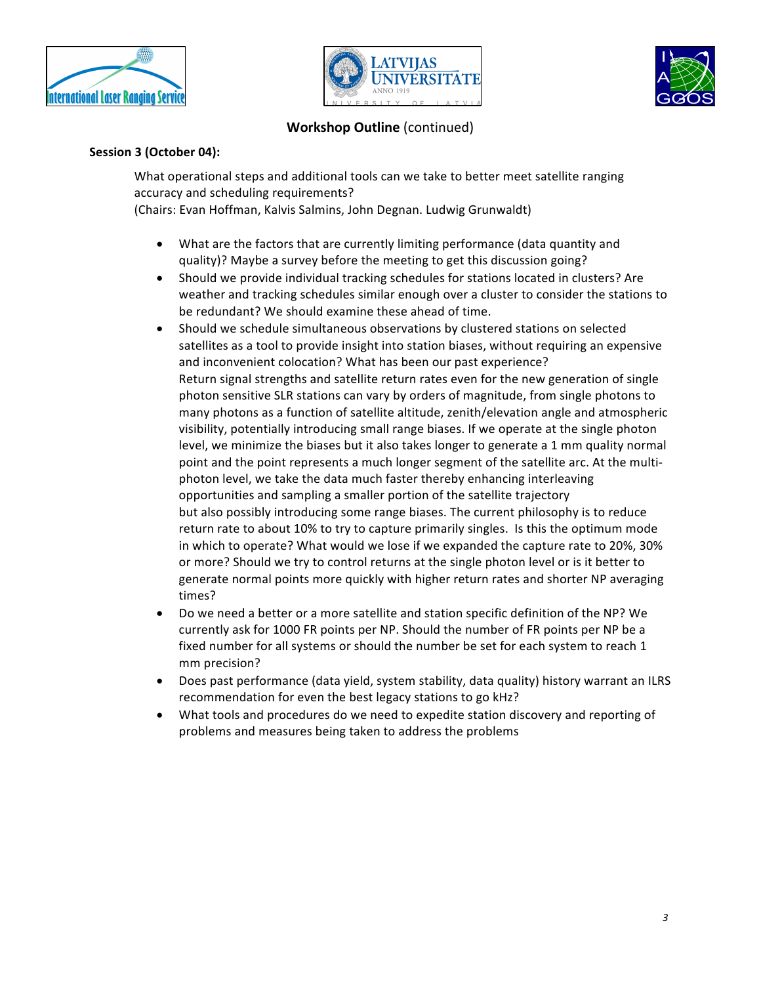





## **Workshop Outline** (continued)

#### **Session 3 (October 04):**

What operational steps and additional tools can we take to better meet satellite ranging accuracy and scheduling requirements?

(Chairs: Evan Hoffman, Kalvis Salmins, John Degnan. Ludwig Grunwaldt)

- What are the factors that are currently limiting performance (data quantity and quality)? Maybe a survey before the meeting to get this discussion going?
- Should we provide individual tracking schedules for stations located in clusters? Are weather and tracking schedules similar enough over a cluster to consider the stations to be redundant? We should examine these ahead of time.
- Should we schedule simultaneous observations by clustered stations on selected satellites as a tool to provide insight into station biases, without requiring an expensive and inconvenient colocation? What has been our past experience? Return signal strengths and satellite return rates even for the new generation of single photon sensitive SLR stations can vary by orders of magnitude, from single photons to many photons as a function of satellite altitude, zenith/elevation angle and atmospheric visibility, potentially introducing small range biases. If we operate at the single photon level, we minimize the biases but it also takes longer to generate a 1 mm quality normal point and the point represents a much longer segment of the satellite arc. At the multiphoton level, we take the data much faster thereby enhancing interleaving opportunities and sampling a smaller portion of the satellite trajectory but also possibly introducing some range biases. The current philosophy is to reduce return rate to about 10% to try to capture primarily singles. Is this the optimum mode in which to operate? What would we lose if we expanded the capture rate to 20%, 30% or more? Should we try to control returns at the single photon level or is it better to generate normal points more quickly with higher return rates and shorter NP averaging times?
- Do we need a better or a more satellite and station specific definition of the NP? We currently ask for 1000 FR points per NP. Should the number of FR points per NP be a fixed number for all systems or should the number be set for each system to reach 1 mm precision?
- Does past performance (data yield, system stability, data quality) history warrant an ILRS recommendation for even the best legacy stations to go kHz?
- What tools and procedures do we need to expedite station discovery and reporting of problems and measures being taken to address the problems